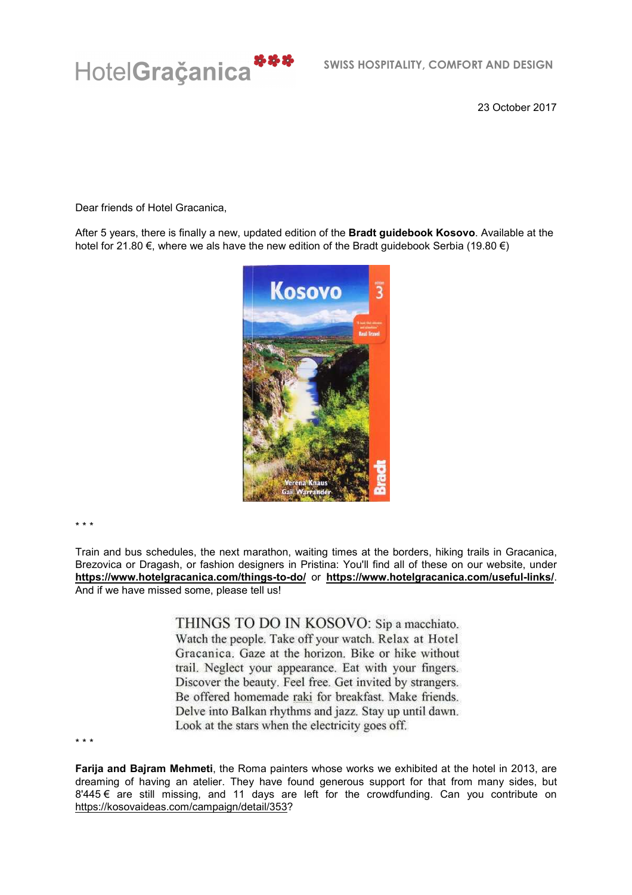

23 October 2017

Dear friends of Hotel Gracanica,

After 5 years, there is finally a new, updated edition of the **Bradt guidebook Kosovo**. Available at the hotel for 21.80 €, where we als have the new edition of the Bradt guidebook Serbia (19.80 €)



\* \* \*

Train and bus schedules, the next marathon, waiting times at the borders, hiking trails in Gracanica, Brezovica or Dragash, or fashion designers in Pristina: You'll find all of these on our website, under **https://www.hotelgracanica.com/things-to-do/** or **https://www.hotelgracanica.com/useful-links/**. And if we have missed some, please tell us!

> THINGS TO DO IN KOSOVO: Sip a macchiato. Watch the people. Take off your watch. Relax at Hotel Gracanica. Gaze at the horizon. Bike or hike without trail. Neglect your appearance. Eat with your fingers. Discover the beauty. Feel free. Get invited by strangers. Be offered homemade raki for breakfast. Make friends. Delve into Balkan rhythms and jazz. Stay up until dawn. Look at the stars when the electricity goes off.

\* \* \*

**Farija and Bajram Mehmeti**, the Roma painters whose works we exhibited at the hotel in 2013, are dreaming of having an atelier. They have found generous support for that from many sides, but  $8'445 \in \text{are still missing, and 11 days are left for the crowdfunding. Can you contribute on }$ https://kosovaideas.com/campaign/detail/353?